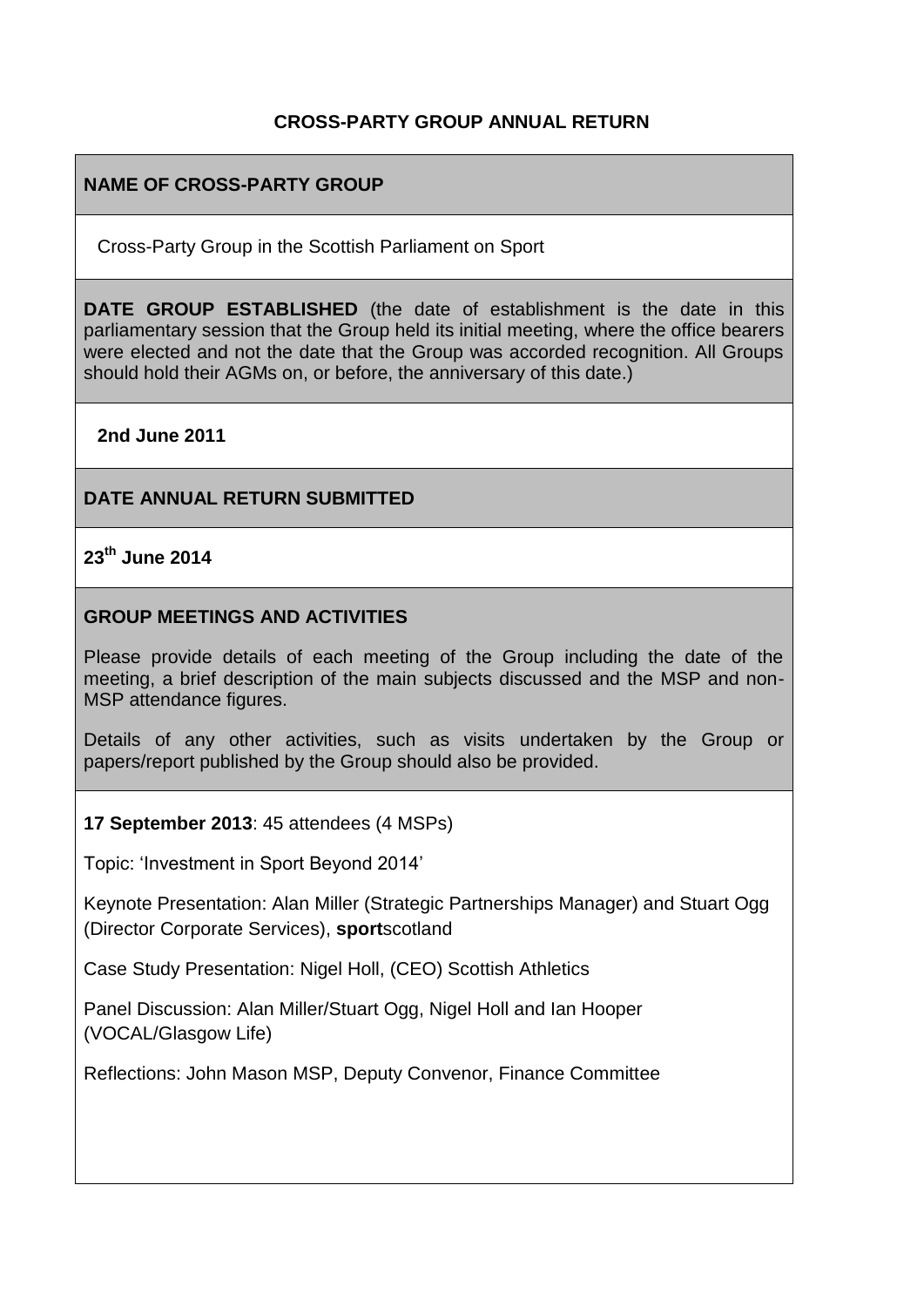## **CROSS-PARTY GROUP ANNUAL RETURN**

#### **NAME OF CROSS-PARTY GROUP**

Cross-Party Group in the Scottish Parliament on Sport

**DATE GROUP ESTABLISHED** (the date of establishment is the date in this parliamentary session that the Group held its initial meeting, where the office bearers were elected and not the date that the Group was accorded recognition. All Groups should hold their AGMs on, or before, the anniversary of this date.)

#### **2nd June 2011**

#### **DATE ANNUAL RETURN SUBMITTED**

## **23th June 2014**

#### **GROUP MEETINGS AND ACTIVITIES**

Please provide details of each meeting of the Group including the date of the meeting, a brief description of the main subjects discussed and the MSP and non-MSP attendance figures.

Details of any other activities, such as visits undertaken by the Group or papers/report published by the Group should also be provided.

#### **17 September 2013**: 45 attendees (4 MSPs)

Topic: 'Investment in Sport Beyond 2014'

Keynote Presentation: Alan Miller (Strategic Partnerships Manager) and Stuart Ogg (Director Corporate Services), **sport**scotland

Case Study Presentation: Nigel Holl, (CEO) Scottish Athletics

Panel Discussion: Alan Miller/Stuart Ogg, Nigel Holl and Ian Hooper (VOCAL/Glasgow Life)

Reflections: John Mason MSP, Deputy Convenor, Finance Committee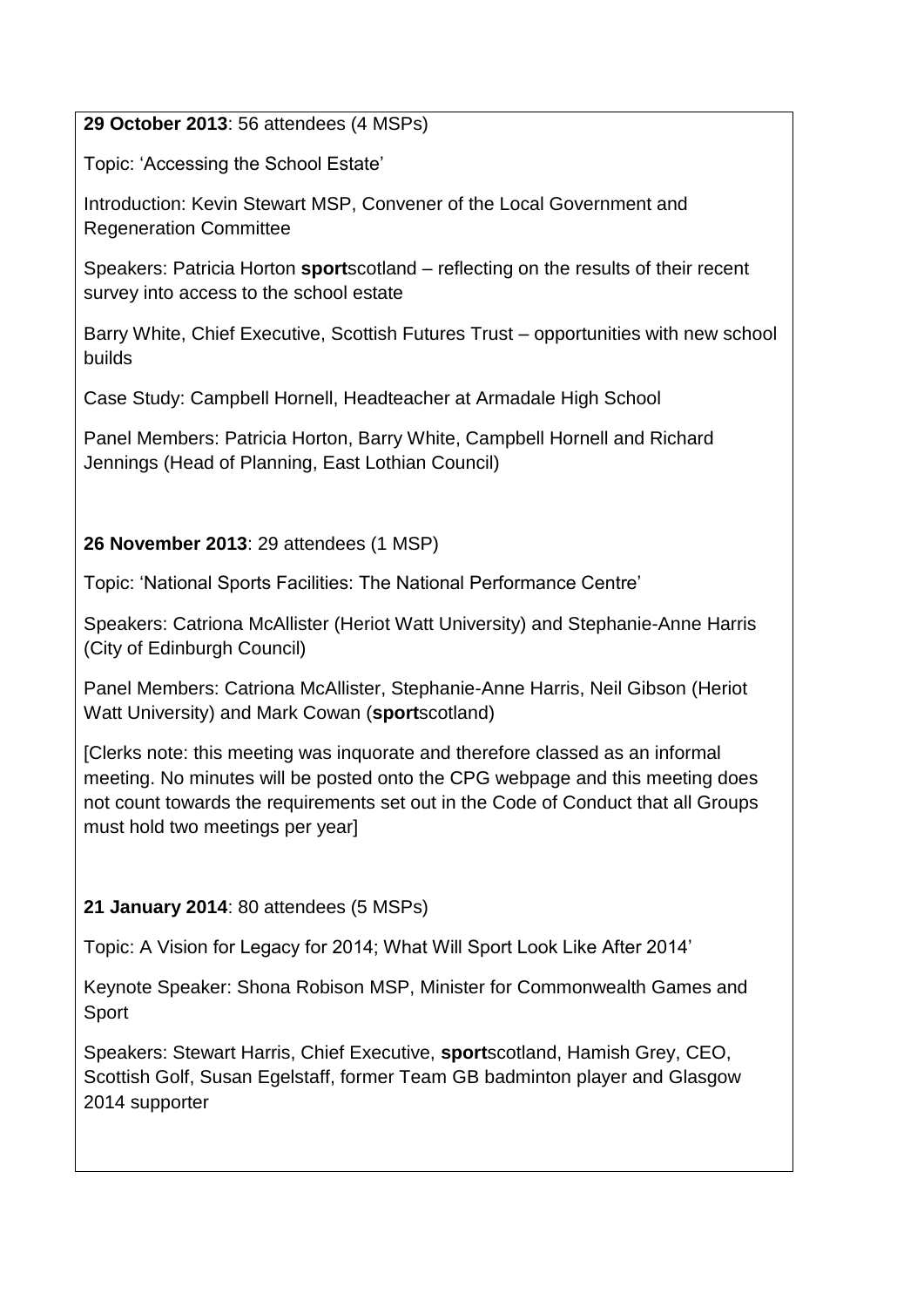## **29 October 2013**: 56 attendees (4 MSPs)

Topic: 'Accessing the School Estate'

Introduction: Kevin Stewart MSP, Convener of the Local Government and Regeneration Committee

Speakers: Patricia Horton **sport**scotland – reflecting on the results of their recent survey into access to the school estate

Barry White, Chief Executive, Scottish Futures Trust – opportunities with new school builds

Case Study: Campbell Hornell, Headteacher at Armadale High School

Panel Members: Patricia Horton, Barry White, Campbell Hornell and Richard Jennings (Head of Planning, East Lothian Council)

## **26 November 2013**: 29 attendees (1 MSP)

Topic: 'National Sports Facilities: The National Performance Centre'

Speakers: Catriona McAllister (Heriot Watt University) and Stephanie-Anne Harris (City of Edinburgh Council)

Panel Members: Catriona McAllister, Stephanie-Anne Harris, Neil Gibson (Heriot Watt University) and Mark Cowan (**sport**scotland)

[Clerks note: this meeting was inquorate and therefore classed as an informal meeting. No minutes will be posted onto the CPG webpage and this meeting does not count towards the requirements set out in the Code of Conduct that all Groups must hold two meetings per year]

# **21 January 2014**: 80 attendees (5 MSPs)

Topic: A Vision for Legacy for 2014; What Will Sport Look Like After 2014'

Keynote Speaker: Shona Robison MSP, Minister for Commonwealth Games and Sport

Speakers: Stewart Harris, Chief Executive, **sport**scotland, Hamish Grey, CEO, Scottish Golf, Susan Egelstaff, former Team GB badminton player and Glasgow 2014 supporter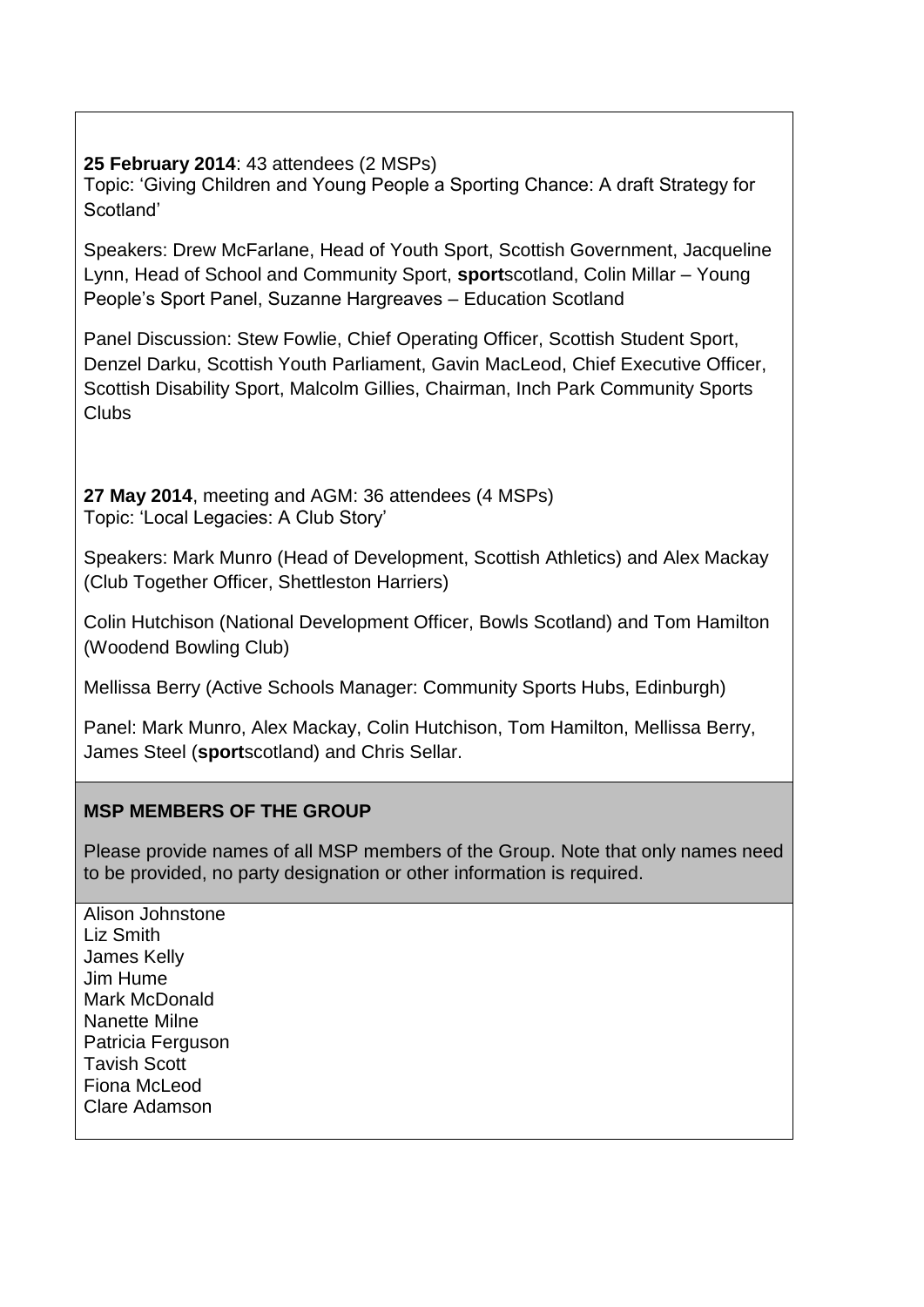#### **25 February 2014**: 43 attendees (2 MSPs)

Topic: 'Giving Children and Young People a Sporting Chance: A draft Strategy for Scotland'

Speakers: Drew McFarlane, Head of Youth Sport, Scottish Government, Jacqueline Lynn, Head of School and Community Sport, **sport**scotland, Colin Millar – Young People's Sport Panel, Suzanne Hargreaves – Education Scotland

Panel Discussion: Stew Fowlie, Chief Operating Officer, Scottish Student Sport, Denzel Darku, Scottish Youth Parliament, Gavin MacLeod, Chief Executive Officer, Scottish Disability Sport, Malcolm Gillies, Chairman, Inch Park Community Sports Clubs

**27 May 2014**, meeting and AGM: 36 attendees (4 MSPs) Topic: 'Local Legacies: A Club Story'

Speakers: Mark Munro (Head of Development, Scottish Athletics) and Alex Mackay (Club Together Officer, Shettleston Harriers)

Colin Hutchison (National Development Officer, Bowls Scotland) and Tom Hamilton (Woodend Bowling Club)

Mellissa Berry (Active Schools Manager: Community Sports Hubs, Edinburgh)

Panel: Mark Munro, Alex Mackay, Colin Hutchison, Tom Hamilton, Mellissa Berry, James Steel (**sport**scotland) and Chris Sellar.

## **MSP MEMBERS OF THE GROUP**

Please provide names of all MSP members of the Group. Note that only names need to be provided, no party designation or other information is required.

Alison Johnstone Liz Smith James Kelly Jim Hume Mark McDonald Nanette Milne Patricia Ferguson Tavish Scott Fiona McLeod Clare Adamson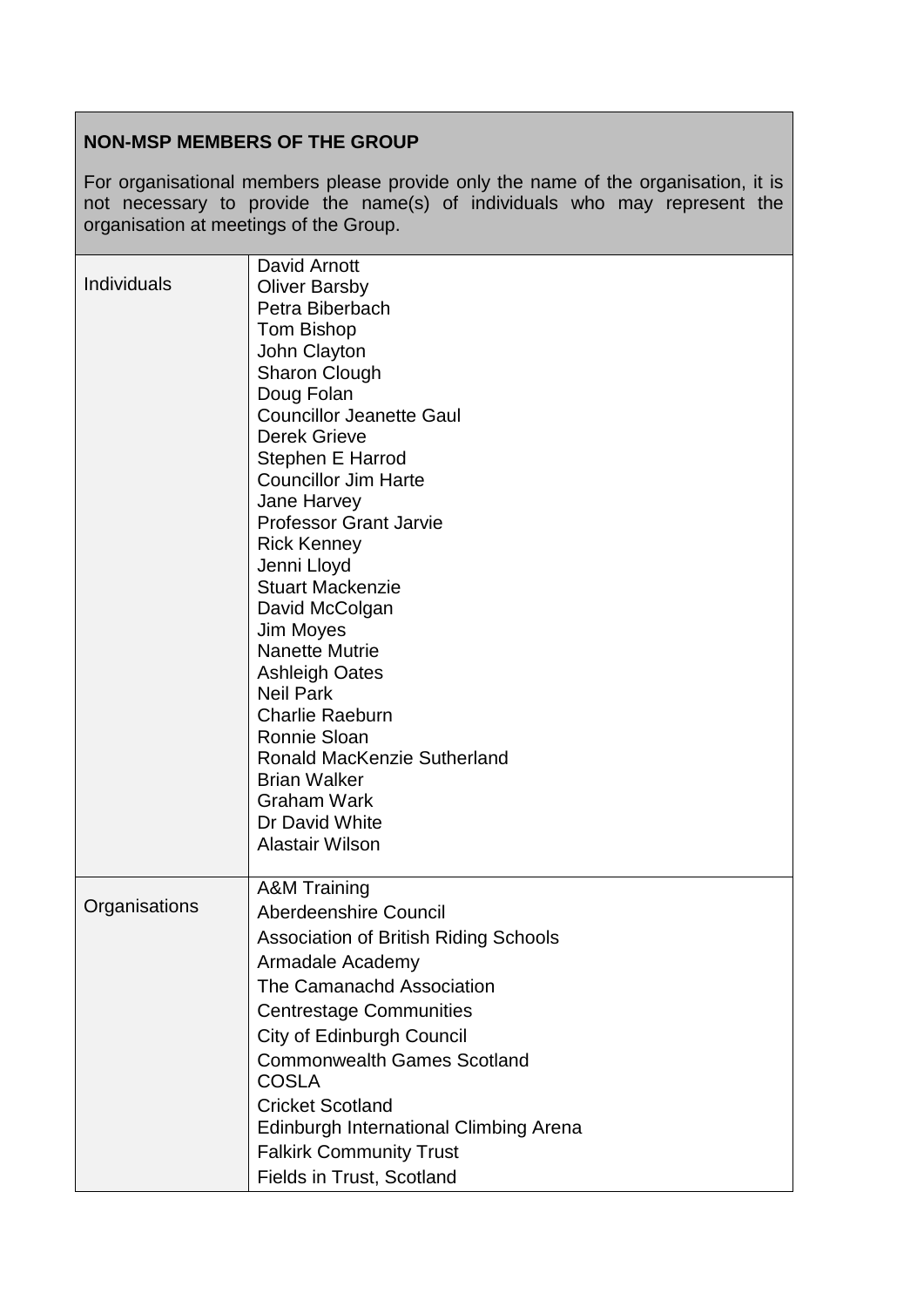# **NON-MSP MEMBERS OF THE GROUP**

For organisational members please provide only the name of the organisation, it is not necessary to provide the name(s) of individuals who may represent the organisation at meetings of the Group.

|               | David Arnott                                  |
|---------------|-----------------------------------------------|
| Individuals   | <b>Oliver Barsby</b>                          |
|               | Petra Biberbach                               |
|               | <b>Tom Bishop</b>                             |
|               | John Clayton                                  |
|               | Sharon Clough                                 |
|               | Doug Folan                                    |
|               | <b>Councillor Jeanette Gaul</b>               |
|               | <b>Derek Grieve</b>                           |
|               | Stephen E Harrod                              |
|               | <b>Councillor Jim Harte</b>                   |
|               | Jane Harvey                                   |
|               | <b>Professor Grant Jarvie</b>                 |
|               | <b>Rick Kenney</b>                            |
|               | Jenni Lloyd                                   |
|               | <b>Stuart Mackenzie</b>                       |
|               | David McColgan                                |
|               | Jim Moyes                                     |
|               | <b>Nanette Mutrie</b>                         |
|               | <b>Ashleigh Oates</b><br><b>Neil Park</b>     |
|               | <b>Charlie Raeburn</b>                        |
|               | Ronnie Sloan                                  |
|               | <b>Ronald MacKenzie Sutherland</b>            |
|               | <b>Brian Walker</b>                           |
|               | <b>Graham Wark</b>                            |
|               | Dr David White                                |
|               | <b>Alastair Wilson</b>                        |
|               |                                               |
|               | <b>A&amp;M Training</b>                       |
| Organisations | <b>Aberdeenshire Council</b>                  |
|               | Association of British Riding Schools         |
|               | Armadale Academy                              |
|               | The Camanachd Association                     |
|               | <b>Centrestage Communities</b>                |
|               | <b>City of Edinburgh Council</b>              |
|               | <b>Commonwealth Games Scotland</b>            |
|               | <b>COSLA</b>                                  |
|               | <b>Cricket Scotland</b>                       |
|               | <b>Edinburgh International Climbing Arena</b> |
|               | <b>Falkirk Community Trust</b>                |
|               | Fields in Trust, Scotland                     |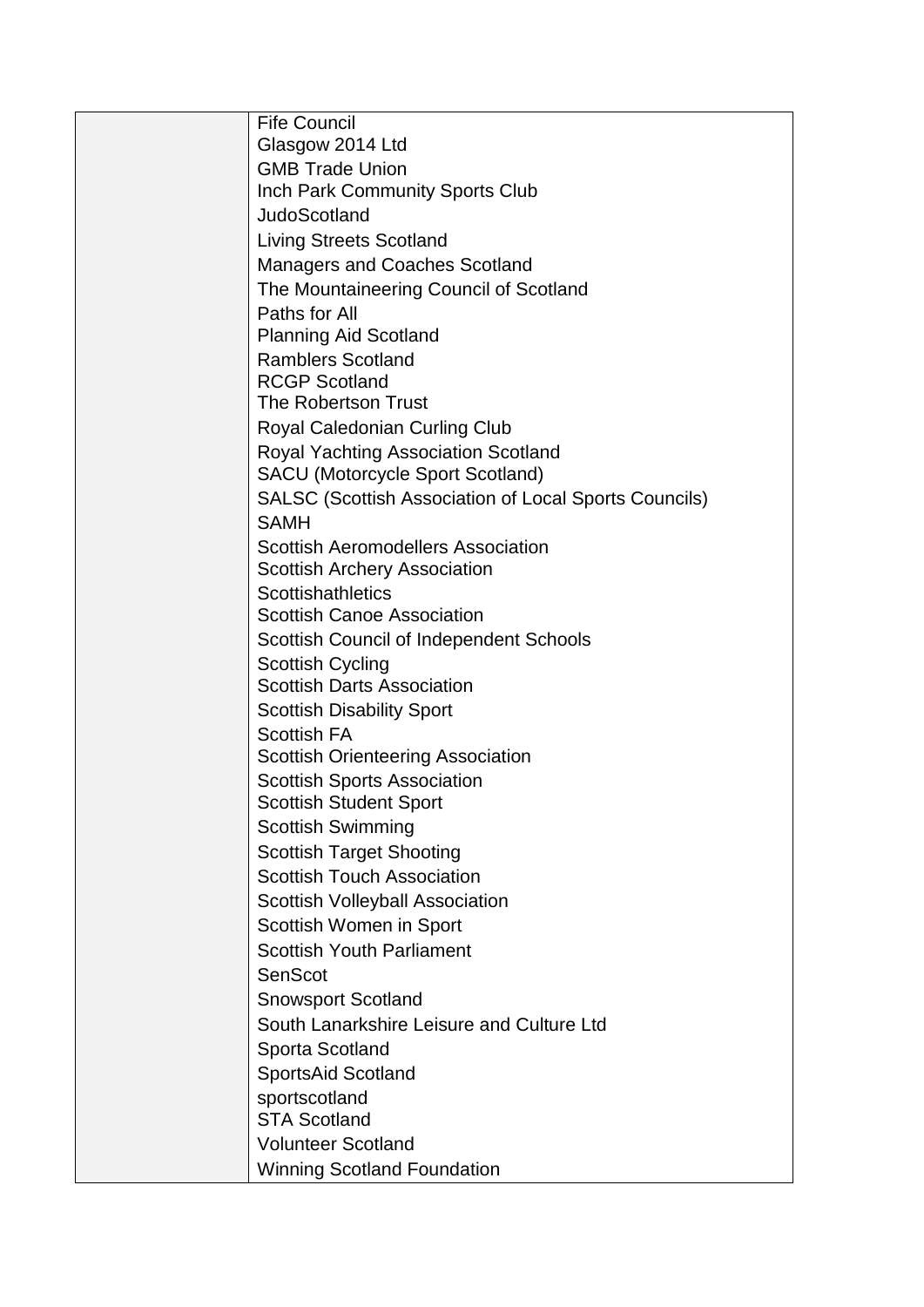| <b>Fife Council</b>                                                              |
|----------------------------------------------------------------------------------|
| Glasgow 2014 Ltd                                                                 |
| <b>GMB Trade Union</b>                                                           |
| Inch Park Community Sports Club                                                  |
| <b>JudoScotland</b>                                                              |
| <b>Living Streets Scotland</b>                                                   |
| <b>Managers and Coaches Scotland</b>                                             |
| The Mountaineering Council of Scotland                                           |
| Paths for All                                                                    |
| <b>Planning Aid Scotland</b>                                                     |
| <b>Ramblers Scotland</b>                                                         |
| <b>RCGP Scotland</b>                                                             |
| The Robertson Trust                                                              |
| <b>Royal Caledonian Curling Club</b>                                             |
| <b>Royal Yachting Association Scotland</b>                                       |
| <b>SACU (Motorcycle Sport Scotland)</b>                                          |
| <b>SALSC (Scottish Association of Local Sports Councils)</b><br><b>SAMH</b>      |
|                                                                                  |
| <b>Scottish Aeromodellers Association</b><br><b>Scottish Archery Association</b> |
| <b>Scottishathletics</b>                                                         |
| <b>Scottish Canoe Association</b>                                                |
| Scottish Council of Independent Schools                                          |
| <b>Scottish Cycling</b>                                                          |
| <b>Scottish Darts Association</b>                                                |
| <b>Scottish Disability Sport</b>                                                 |
| <b>Scottish FA</b>                                                               |
| <b>Scottish Orienteering Association</b>                                         |
| <b>Scottish Sports Association</b>                                               |
| <b>Scottish Student Sport</b>                                                    |
| <b>Scottish Swimming</b>                                                         |
| <b>Scottish Target Shooting</b>                                                  |
| <b>Scottish Touch Association</b>                                                |
| <b>Scottish Volleyball Association</b>                                           |
| Scottish Women in Sport                                                          |
| <b>Scottish Youth Parliament</b>                                                 |
| SenScot                                                                          |
| <b>Snowsport Scotland</b>                                                        |
| South Lanarkshire Leisure and Culture Ltd                                        |
| Sporta Scotland                                                                  |
| SportsAid Scotland                                                               |
| sportscotland                                                                    |
| <b>STA Scotland</b>                                                              |
| <b>Volunteer Scotland</b>                                                        |
| <b>Winning Scotland Foundation</b>                                               |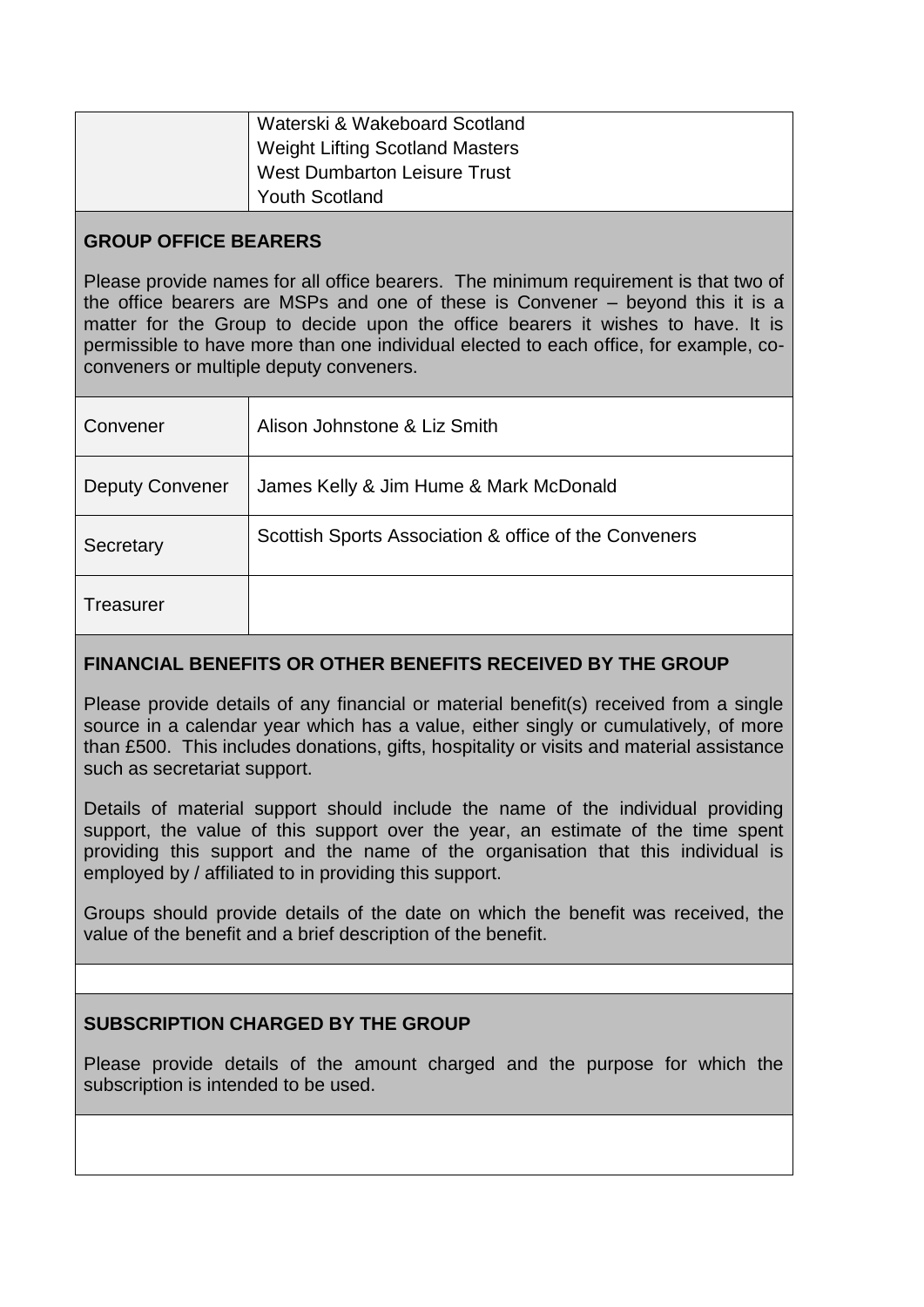| Waterski & Wakeboard Scotland          |
|----------------------------------------|
| <b>Weight Lifting Scotland Masters</b> |
| West Dumbarton Leisure Trust           |
| <b>Youth Scotland</b>                  |

# **GROUP OFFICE BEARERS**

Please provide names for all office bearers. The minimum requirement is that two of the office bearers are MSPs and one of these is Convener – beyond this it is a matter for the Group to decide upon the office bearers it wishes to have. It is permissible to have more than one individual elected to each office, for example, coconveners or multiple deputy conveners.

| Convener               | Alison Johnstone & Liz Smith                          |
|------------------------|-------------------------------------------------------|
| <b>Deputy Convener</b> | James Kelly & Jim Hume & Mark McDonald                |
| Secretary              | Scottish Sports Association & office of the Conveners |
| <b>Treasurer</b>       |                                                       |

## **FINANCIAL BENEFITS OR OTHER BENEFITS RECEIVED BY THE GROUP**

Please provide details of any financial or material benefit(s) received from a single source in a calendar year which has a value, either singly or cumulatively, of more than £500. This includes donations, gifts, hospitality or visits and material assistance such as secretariat support.

Details of material support should include the name of the individual providing support, the value of this support over the year, an estimate of the time spent providing this support and the name of the organisation that this individual is employed by / affiliated to in providing this support.

Groups should provide details of the date on which the benefit was received, the value of the benefit and a brief description of the benefit.

## **SUBSCRIPTION CHARGED BY THE GROUP**

Please provide details of the amount charged and the purpose for which the subscription is intended to be used.